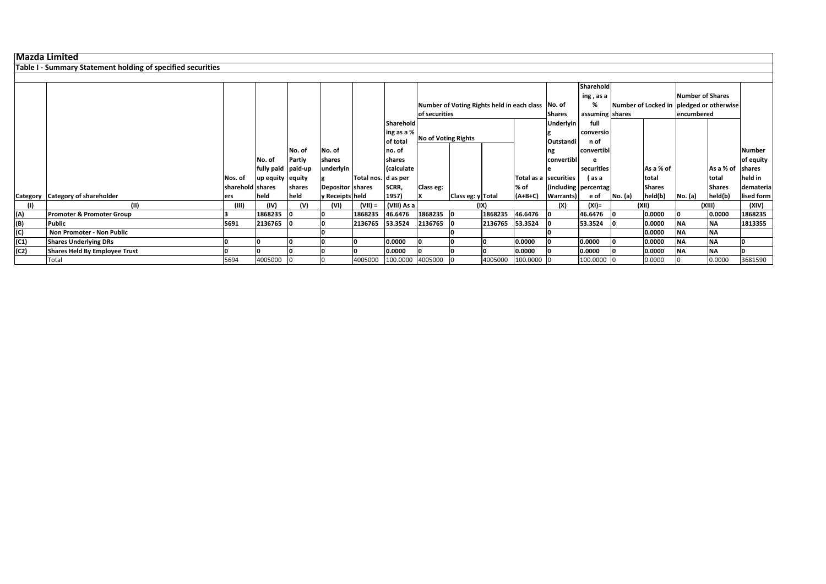**Table I ‐ Summary Statement holding of specified securities**

|      |                                      |                  |                    |        |                  |                     |                    |                            |                   |         |                                                   |                   | Sharehold            |         |               |                                          |                  |            |
|------|--------------------------------------|------------------|--------------------|--------|------------------|---------------------|--------------------|----------------------------|-------------------|---------|---------------------------------------------------|-------------------|----------------------|---------|---------------|------------------------------------------|------------------|------------|
|      |                                      |                  |                    |        |                  |                     |                    |                            |                   |         |                                                   |                   | ing, as a            |         |               | Number of Shares                         |                  |            |
|      |                                      |                  |                    |        |                  |                     |                    |                            |                   |         | Number of Voting Rights held in each class No. of |                   | %                    |         |               | Number of Locked in pledged or otherwise |                  |            |
|      |                                      |                  |                    |        |                  |                     |                    | of securities              |                   |         |                                                   | <b>Shares</b>     | assuming shares      |         |               | encumbered                               |                  |            |
|      |                                      |                  |                    |        |                  |                     | Sharehold          |                            |                   |         | <b>Underlyin</b>                                  | full              |                      |         |               |                                          |                  |            |
|      |                                      |                  |                    |        |                  |                     | ing as a %         |                            |                   |         |                                                   | conversio         |                      |         |               |                                          |                  |            |
|      |                                      |                  |                    |        |                  |                     | of total           | <b>No of Voting Rights</b> |                   |         | Outstandi                                         | n of              |                      |         |               |                                          |                  |            |
|      |                                      |                  |                    | No. of | No. of           |                     | no. of             |                            |                   |         |                                                   | ng                | convertibl           |         |               |                                          |                  | Number     |
|      |                                      |                  | INo. of            | Partly | shares           |                     | <b>Ishares</b>     |                            |                   |         |                                                   | convertibl        |                      |         |               |                                          |                  | of equity  |
|      |                                      |                  | fully paid paid-up |        | underlyin        |                     | (calculate         |                            |                   |         |                                                   |                   | securities           |         | As a % of     |                                          | As a % of shares |            |
|      |                                      | Nos. of          | up equity equity   |        |                  | Total nos. d as per |                    |                            |                   |         | Total as a securities                             |                   | (as a                |         | total         |                                          | total            | held in    |
|      |                                      | sharehold shares |                    | shares | Depositor shares |                     | SCRR,              | Class eg:                  |                   |         | % of                                              |                   | (including percentag |         | <b>Shares</b> |                                          | <b>Shares</b>    | demateria  |
|      | Category Category of shareholder     | ers              | held               | held   | y Receipts held  |                     | 1957)              |                            | Class eg: y Total |         | $(A+B+C)$                                         | <b>Warrants</b> ) | e of                 | No. (a) | held(b)       | No. (a)                                  | held(b)          | lised form |
|      | (II)                                 | (III)            | (IV)               | (V)    | (VI)             | (VII) =             | (VIII) As a        |                            |                   | (IX)    |                                                   | (X)               | $(XI) =$             |         | (XII)         |                                          | (XIII)           | (XIV)      |
| (A)  | <b>Promoter &amp; Promoter Group</b> |                  | 1868235            | - 10   |                  | 1868235             | 46.6476            | 1868235 0                  |                   | 1868235 | 46.6476                                           |                   | 46.6476              |         | 0.0000        |                                          | 0.0000           | 1868235    |
| (B)  | <b>Public</b>                        | 5691             | 2136765            |        |                  | 2136765             | 53.3524            | 2136765                    |                   | 2136765 | 53.3524                                           |                   | 53.3524              |         | 0.0000        | <b>NA</b>                                | <b>NA</b>        | 1813355    |
| (C)  | Non Promoter - Non Public            |                  |                    |        |                  |                     |                    |                            |                   |         |                                                   |                   |                      |         | 0.0000        | <b>NA</b>                                | <b>INA</b>       |            |
| (C1) | <b>Shares Underlying DRs</b>         |                  |                    |        |                  |                     | 0.0000             |                            |                   |         | 0.0000                                            |                   | 0.0000               |         | 0.0000        | <b>NA</b>                                | <b>INA</b>       | n          |
| (C2) | <b>Shares Held By Employee Trust</b> |                  |                    |        |                  |                     | 0.0000             |                            |                   |         | 0.0000                                            |                   | 0.0000               |         | 0.0000        | <b>NA</b>                                | <b>INA</b>       | o          |
|      | Total                                | 5694             | 4005000            |        |                  | 4005000             | 100.0000 4005000 0 |                            |                   | 4005000 | 100.0000 0                                        |                   | 100.0000 0           |         | 0.0000        |                                          | 0.0000           | 3681590    |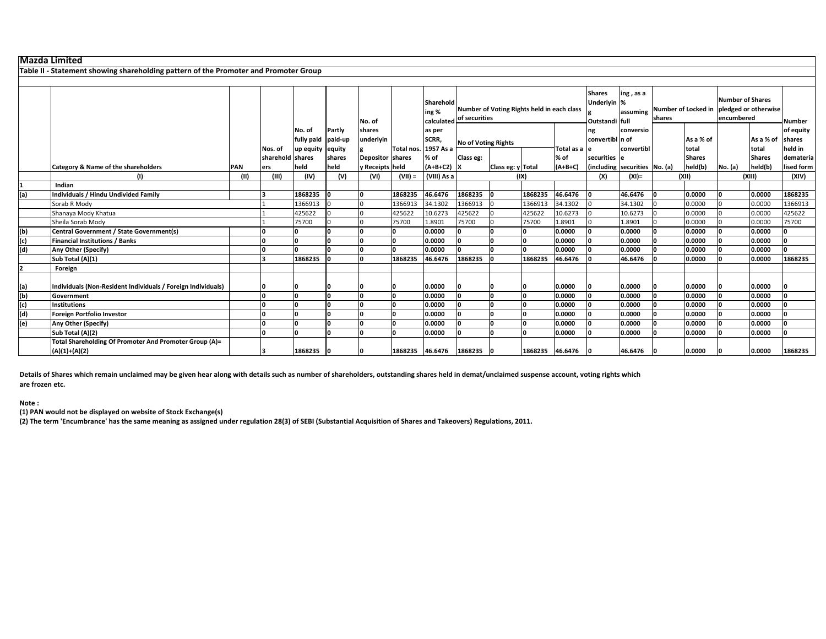**Table II ‐ Statement showing shareholding pattern of the Promoter and Promoter Group**

|     |                                                                           |            |                  |                                        |        | No. of           |            | Sharehold<br>ing %<br>calculated | Number of Voting Rights held in each class<br>of securities |                   |                 |               | <b>Shares</b><br>Underlyin %<br>Outstandi full | ing, as a<br>assuming         | shares |                    | <b>Number of Shares</b><br>Number of Locked in pledged or otherwise<br>encumbered |                    | <b>Number</b>     |
|-----|---------------------------------------------------------------------------|------------|------------------|----------------------------------------|--------|------------------|------------|----------------------------------|-------------------------------------------------------------|-------------------|-----------------|---------------|------------------------------------------------|-------------------------------|--------|--------------------|-----------------------------------------------------------------------------------|--------------------|-------------------|
|     |                                                                           |            |                  | No. of                                 | Partly | shares           |            | as per                           |                                                             |                   |                 |               | ng                                             | conversio                     |        |                    |                                                                                   |                    | of equity         |
|     |                                                                           |            | Nos. of          | fully paid paid-up<br>up equity equity |        | underlyin        | Total nos. | SCRR,<br>1957 As a               | <b>No of Voting Rights</b>                                  |                   |                 | Total as a le | convertibl n of                                | convertibl                    |        | As a % of<br>total |                                                                                   | As a % of<br>total | shares<br>held in |
|     |                                                                           |            | sharehold shares |                                        | shares | Depositor shares |            | % of                             | Class eg:                                                   |                   |                 | % of          | securities e                                   |                               |        | <b>Shares</b>      |                                                                                   | <b>Shares</b>      | demateria         |
|     | Category & Name of the shareholders                                       | <b>PAN</b> | ers              | held                                   | held   | y Receipts held  |            | $(A+B+C2)$ X                     |                                                             | Class eg: y Total |                 | $(A+B+C)$     |                                                | (including securities No. (a) |        | held(b)            | No. (a)                                                                           | held(b)            | lised form        |
|     |                                                                           | (II)       | (III)            | (IV)                                   | (V)    | (VI)             | $(VII) =$  | (VIII) As a                      |                                                             |                   | (IX)            |               | (X)                                            | (XI)=                         |        | (XII)              |                                                                                   | (XIII)             | (XIV)             |
|     | Indian                                                                    |            |                  |                                        |        |                  |            |                                  |                                                             |                   |                 |               |                                                |                               |        |                    |                                                                                   |                    |                   |
| (a) | Individuals / Hindu Undivided Family                                      |            |                  | 1868235                                |        |                  | 1868235    | 46.6476                          | 1868235                                                     | ın                | 1868235         | 46.6476       |                                                | 46.6476                       |        | 0.0000             |                                                                                   | 0.0000             | 1868235           |
|     | Sorab R Mody                                                              |            |                  | 1366913                                |        |                  | 1366913    | 34.1302                          | 1366913                                                     |                   | 1366913         | 34.1302       |                                                | 34.1302                       |        | 0.0000             |                                                                                   | 0.0000             | 1366913           |
|     | Shanaya Mody Khatua                                                       |            |                  | 425622                                 |        |                  | 425622     | 10.6273                          | 425622                                                      |                   | 425622          | 10.6273       |                                                | 10.6273                       |        | 0.0000             |                                                                                   | 0.0000             | 425622            |
|     | Sheila Sorab Mody                                                         |            |                  | 75700                                  |        |                  | 75700      | 1.8901                           | 75700                                                       |                   | 75700           | 1.8901        |                                                | 1.8901                        |        | 0.0000             |                                                                                   | 0.0000             | 75700             |
| (b) | Central Government / State Government(s)                                  |            |                  |                                        |        |                  | n          | 0.0000                           |                                                             |                   | n               | 0.0000        |                                                | 0.0000                        |        | 0.0000             |                                                                                   | 0.0000             | n                 |
| (c) | <b>Financial Institutions / Banks</b>                                     |            |                  |                                        |        |                  | n          | 0.0000                           |                                                             |                   | n               | 0.0000        |                                                | 0.0000                        |        | 0.0000             |                                                                                   | 0.0000             | n                 |
| (d) | Any Other (Specify)                                                       |            |                  |                                        |        | <sup>0</sup>     | n          | 0.0000                           |                                                             |                   | n               | 0.0000        |                                                | 0.0000                        |        | 0.0000             |                                                                                   | 0.0000             | n                 |
|     | Sub Total (A)(1)                                                          |            |                  | 1868235                                |        | n                | 1868235    | 46.6476                          | 1868235                                                     |                   | 1868235         | 46.6476       |                                                | 46.6476                       |        | 0.0000             |                                                                                   | 0.0000             | 1868235           |
| 2   | Foreign                                                                   |            |                  |                                        |        |                  |            |                                  |                                                             |                   |                 |               |                                                |                               |        |                    |                                                                                   |                    |                   |
| (a) | Individuals (Non-Resident Individuals / Foreign Individuals)              |            |                  |                                        |        |                  |            | 0.0000                           |                                                             |                   |                 | 0.0000        |                                                | 0.0000                        |        | 0.0000             |                                                                                   | 0.0000             |                   |
| (b) | Government                                                                |            |                  |                                        |        |                  |            | 0.0000                           |                                                             | n                 |                 | 0.0000        |                                                | 0.0000                        |        | 0.0000             |                                                                                   | 0.0000             |                   |
| (c) | <b>Institutions</b>                                                       |            |                  |                                        |        |                  |            | 0.0000                           |                                                             |                   |                 | 0.0000        |                                                | 0.0000                        |        | 0.0000             |                                                                                   | 0.0000             |                   |
| (d) | <b>Foreign Portfolio Investor</b>                                         |            |                  |                                        |        |                  |            | 0.0000                           |                                                             | n                 |                 | 0.0000        |                                                | 0.0000                        |        | 0.0000             |                                                                                   | 0.0000             |                   |
| (e) | Any Other (Specify)                                                       |            |                  |                                        |        |                  |            | 0.0000                           |                                                             |                   | n               | 0.0000        |                                                | 0.0000                        |        | 0.0000             |                                                                                   | 0.0000             |                   |
|     | Sub Total (A)(2)                                                          |            |                  |                                        |        | n                |            | 0.0000                           |                                                             | ı.                | n               | 0.0000        |                                                | 0.0000                        |        | 0.0000             |                                                                                   | 0.0000             |                   |
|     | Total Shareholding Of Promoter And Promoter Group (A)=<br>$(A)(1)+(A)(2)$ |            |                  | 1868235                                |        | 0                | 1868235    | 46.6476                          | 1868235                                                     | ın                | 1868235 46.6476 |               |                                                | 46.6476                       |        | 0.0000             |                                                                                   | 0.0000             | 1868235           |

Details of Shares which remain unclaimed may be given hear along with details such as number of shareholders, outstanding shares held in demat/unclaimed suspense account, voting rights which **are frozen etc.**

**Note :**

**(1) PAN would not be displayed on website of Stock Exchange(s)**

(2) The term 'Encumbrance' has the same meaning as assigned under regulation 28(3) of SEBI (Substantial Acquisition of Shares and Takeovers) Regulations, 2011.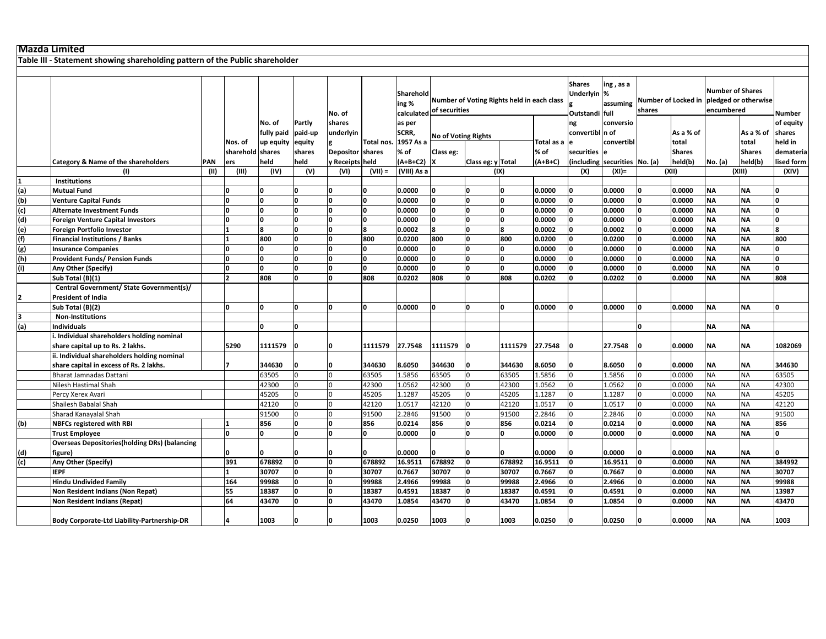**Table III ‐ Statement showing shareholding pattern of the Public shareholder**

|                                                        |                                                       |            |                  |            |                | No. of                  |            | Sharehold<br>ing % | calculated of securities   | Number of Voting Rights held in each class |                |            | <b>Shares</b><br>Underlyin %<br>Outstandi full | ing, as a<br>assuming         | shares |               | <b>Number of Shares</b><br>Number of Locked in pledged or otherwise<br>encumbered |               | Number                  |
|--------------------------------------------------------|-------------------------------------------------------|------------|------------------|------------|----------------|-------------------------|------------|--------------------|----------------------------|--------------------------------------------|----------------|------------|------------------------------------------------|-------------------------------|--------|---------------|-----------------------------------------------------------------------------------|---------------|-------------------------|
|                                                        |                                                       |            |                  | No. of     | Partly         | shares                  |            | as per             |                            |                                            |                |            | ng                                             | conversio                     |        |               |                                                                                   |               | of equity               |
|                                                        |                                                       |            |                  | fully paid | paid-up        | underlyin               |            | SCRR,              |                            |                                            |                |            | convertibl n of                                |                               |        | As a % of     |                                                                                   | As a % of     | shares                  |
|                                                        |                                                       |            | Nos. of          | up equity  | equity         |                         | Total nos. | 1957 As a          | <b>No of Voting Rights</b> |                                            |                | Total as a | e                                              | convertibl                    |        | total         |                                                                                   | total         | held in                 |
|                                                        |                                                       |            | sharehold shares |            | shares         | <b>Depositor shares</b> |            | % of               | Class eg:                  |                                            |                | $%$ of     | securities                                     |                               |        | <b>Shares</b> |                                                                                   | <b>Shares</b> | demateria               |
|                                                        | Category & Name of the shareholders                   | <b>PAN</b> | ers              | held       | held           | y Receipts held         |            | $(A+B+C2)$ X       |                            | Class eg: y Total                          |                | $(A+B+C)$  |                                                | (including securities No. (a) |        | held(b)       | No. (a)                                                                           | held(b)       | lised form              |
|                                                        | (1)                                                   | (II)       | (III)            | (IV)       | (V)            | (VI)                    | $(VII) =$  | (VIII) As a        |                            |                                            | (1)            |            | (X)                                            | $(XI) =$                      |        | (XII)         |                                                                                   | (XIII)        | (XIV)                   |
|                                                        | <b>Institutions</b>                                   |            |                  |            |                |                         |            |                    |                            |                                            |                |            |                                                |                               |        |               |                                                                                   |               |                         |
| $\frac{1}{\text{(a)}}$ $\frac{\text{(b)}}{\text{(c)}}$ | <b>Mutual Fund</b>                                    |            | U                |            | 0              | 0                       | 0          | 0.0000             | O                          | O                                          | $\Omega$       | 0.0000     | n                                              | 0.0000                        |        | 0.0000        | <b>NA</b>                                                                         | <b>NA</b>     | n                       |
|                                                        | <b>Venture Capital Funds</b>                          |            | U                |            | 0              | o                       | O          | 0.0000             | o                          | o                                          | I٥             | 0.0000     | $\Omega$                                       | 0.0000                        |        | 0.0000        | <b>NA</b>                                                                         | <b>NA</b>     | O                       |
|                                                        | <b>Alternate Investment Funds</b>                     |            |                  |            | ۱o             | <b>n</b>                | o          | 0.0000             | <b>n</b>                   | ۱n                                         | $\overline{0}$ | 0.0000     |                                                | 0.0000                        |        | 0.0000        | <b>NA</b>                                                                         | <b>NA</b>     | <sup>0</sup>            |
|                                                        | <b>Foreign Venture Capital Investors</b>              |            |                  |            | 0              | 0                       | O          | 0.0000             | O                          | I٥                                         | O              | 0.0000     |                                                | 0.0000                        |        | 0.0000        | <b>NA</b>                                                                         | <b>NA</b>     | 0                       |
| (e)                                                    | Foreign Portfolio Investor                            |            |                  |            | 0              | 0                       | 8          | 0.0002             | 8                          | o                                          | 8              | 0.0002     |                                                | 0.0002                        |        | 0.0000        | <b>NA</b>                                                                         | <b>NA</b>     | 8                       |
|                                                        | <b>Financial Institutions / Banks</b>                 |            |                  | 800        | 0              | 0                       | 800        | 0.0200             | 800                        | o                                          | 800            | 0.0200     |                                                | 0.0200                        |        | 0.0000        | <b>NA</b>                                                                         | <b>NA</b>     | 800                     |
| $\frac{f(t)}{g(t)}$                                    |                                                       |            | U                |            | 0              | ١o                      |            |                    | o                          | o                                          | O              |            |                                                |                               |        |               |                                                                                   | <b>NA</b>     | 0                       |
|                                                        | <b>Insurance Companies</b>                            |            |                  |            | Ō              | ۱n                      | 0<br>lo.   | 0.0000             | lo.                        | ۱n                                         | I٥             | 0.0000     |                                                | 0.0000                        |        | 0.0000        | <b>NA</b><br><b>NA</b>                                                            | <b>NA</b>     | $\overline{\mathbf{0}}$ |
| (h)<br>(i)                                             | <b>Provident Funds/ Pension Funds</b>                 |            |                  | n          |                |                         |            | 0.0000             |                            |                                            |                | 0.0000     |                                                | 0.0000                        |        | 0.0000        |                                                                                   |               |                         |
|                                                        | Any Other (Specify)                                   |            | U                |            | O              | O                       | 0          | 0.0000             | O                          | O                                          | I٥             | 0.0000     |                                                | 0.0000                        |        | 0.0000        | <b>NA</b>                                                                         | <b>NA</b>     | 0                       |
|                                                        | Sub Total (B)(1)                                      |            | $\overline{ }$   | 808        | O              | O                       | 808        | 0.0202             | 808                        | <b>n</b>                                   | 808            | 0.0202     |                                                | 0.0202                        |        | 0.0000        | <b>NA</b>                                                                         | <b>NA</b>     | 808                     |
|                                                        | Central Government/ State Government(s)/              |            |                  |            |                |                         |            |                    |                            |                                            |                |            |                                                |                               |        |               |                                                                                   |               |                         |
| 2                                                      | <b>President of India</b>                             |            |                  |            |                |                         |            |                    |                            |                                            |                |            |                                                |                               |        |               |                                                                                   |               |                         |
|                                                        | Sub Total (B)(2)                                      |            | ١n               | ١n         | o              | o                       | O          | 0.0000             | O                          | ۱o                                         | O              | 0.0000     | I٥                                             | 0.0000                        | O      | 0.0000        | <b>NA</b>                                                                         | <b>NA</b>     | <sup>0</sup>            |
| 3                                                      | <b>Non-Institutions</b>                               |            |                  |            |                |                         |            |                    |                            |                                            |                |            |                                                |                               |        |               |                                                                                   |               |                         |
| (a)                                                    | <b>Individuals</b>                                    |            |                  |            | 0              |                         |            |                    |                            |                                            |                |            |                                                |                               |        |               | <b>NA</b>                                                                         | <b>NA</b>     |                         |
|                                                        | . Individual shareholders holding nominal             |            |                  |            |                |                         |            |                    |                            |                                            |                |            |                                                |                               |        |               |                                                                                   |               |                         |
|                                                        | share capital up to Rs. 2 lakhs.                      |            | 5290             | 1111579    | o              | n                       | 1111579    | 27.7548            | 1111579                    | ın                                         | 1111579        | 27.7548    |                                                | 27.7548                       |        | 0.0000        | ΝA                                                                                | <b>NA</b>     | 1082069                 |
|                                                        | ii. Individual shareholders holding nominal           |            |                  |            |                |                         |            |                    |                            |                                            |                |            |                                                |                               |        |               |                                                                                   |               |                         |
|                                                        | share capital in excess of Rs. 2 lakhs.               |            |                  | 344630     |                | 0                       | 344630     | 8.6050             | 344630                     |                                            | 344630         | 8.6050     |                                                | 8.6050                        |        | 0.0000        | ΝA                                                                                | <b>NA</b>     | 344630                  |
|                                                        | Bharat Jamnadas Dattani                               |            |                  | 63505      | 0              | $\overline{0}$          | 63505      | 1.5856             | 63505                      | $\Omega$                                   | 63505          | 1.5856     |                                                | 1.5856                        |        | 0.0000        | <b>NA</b>                                                                         | <b>NA</b>     | 63505                   |
|                                                        | Nilesh Hastimal Shah                                  |            |                  | 42300      | 0              | l <sub>0</sub>          | 42300      | 1.0562             | 42300                      | $\Omega$                                   | 42300          | 1.0562     |                                                | .0562                         |        | 0.0000        | <b>NA</b>                                                                         | <b>NA</b>     | 42300                   |
|                                                        | Percy Xerex Avari                                     |            |                  | 45205      | $\overline{0}$ | l <sub>0</sub>          | 45205      | 1.1287             | 45205                      | $\Omega$                                   | 45205          | 1.1287     |                                                | 1.1287                        |        | 0.0000        | <b>NA</b>                                                                         | <b>NA</b>     | 45205                   |
|                                                        | Shailesh Babalal Shah                                 |            |                  | 42120      | 0              | l <sub>0</sub>          | 42120      | 1.0517             | 42120                      | $\Omega$                                   | 42120          | 1.0517     |                                                | .0517                         |        | 0.0000        | <b>NA</b>                                                                         | <b>NA</b>     | 42120                   |
|                                                        | Sharad Kanayalal Shah                                 |            |                  | 91500      | $\overline{0}$ | l <sub>0</sub>          | 91500      | 2.2846             | 91500                      | $\Omega$                                   | 91500          | 2.2846     |                                                | 2.2846                        |        | 0.0000        | <b>NA</b>                                                                         | <b>NA</b>     | 91500                   |
| (b)                                                    | <b>NBFCs registered with RBI</b>                      |            |                  | 856        | 0              | O                       | 856        | 0.0214             | 856                        | O                                          | 856            | 0.0214     | n.                                             | 0.0214                        |        | 0.0000        | <b>NA</b>                                                                         | <b>NA</b>     | 856                     |
|                                                        | <b>Trust Employee</b>                                 |            | l0.              | n          | $\mathbf{0}$   | <b>l</b>                | 0          | 0.0000             | O                          | <b>n</b>                                   | <sup>0</sup>   | 0.0000     |                                                | 0.0000                        |        | 0.0000        | <b>NA</b>                                                                         | <b>NA</b>     | O                       |
|                                                        | <b>Overseas Depositories (holding DRs) (balancing</b> |            |                  |            |                |                         |            |                    |                            |                                            |                |            |                                                |                               |        |               |                                                                                   |               |                         |
|                                                        | figure)                                               |            |                  |            |                |                         |            | 0.0000             |                            |                                            |                | 0.0000     |                                                | 0.0000                        |        | 0.0000        | <b>NA</b>                                                                         | <b>NA</b>     |                         |
| $\frac{1}{2}$                                          | Any Other (Specify)                                   |            | 391              | 678892     | o              | o                       | 678892     | 16.9511            | 678892                     | ۱o                                         | 678892         | 16.9511    | <b>n</b>                                       | 16.9511                       |        | 0.0000        | <b>NA</b>                                                                         | <b>NA</b>     | 384992                  |
|                                                        | <b>IEPF</b>                                           |            |                  | 30707      | I٥             | O                       | 30707      | 0.7667             | 30707                      | ١o                                         | 30707          | 0.7667     | O                                              | 0.7667                        |        | 0.0000        | <b>NA</b>                                                                         | <b>NA</b>     | 30707                   |
|                                                        | <b>Hindu Undivided Family</b>                         |            | 164              | 99988      | 0              | O                       | 99988      | 2.4966             | 99988                      | <b>n</b>                                   | 99988          | 2.4966     |                                                | 2.4966                        |        | 0.0000        | <b>NA</b>                                                                         | <b>NA</b>     | 99988                   |
|                                                        | Non Resident Indians (Non Repat)                      |            | 55               | 18387      | 0              | I٥                      | 18387      | 0.4591             | 18387                      | 'n                                         | 18387          | 0.4591     | n                                              | 0.4591                        |        | 0.0000        | <b>NA</b>                                                                         | <b>NA</b>     | 13987                   |
|                                                        | Non Resident Indians (Repat)                          |            | 64               | 43470      | o              | <b>l</b>                | 43470      | 1.0854             | 43470                      | <b>n</b>                                   | 43470          | 1.0854     |                                                | .0854                         |        | 0.0000        | <b>NA</b>                                                                         | <b>NA</b>     | 43470                   |
|                                                        |                                                       |            |                  |            |                |                         |            |                    |                            |                                            |                |            |                                                |                               |        |               |                                                                                   |               |                         |
|                                                        | Body Corporate-Ltd Liability-Partnership-DR           |            |                  | 1003       |                | ۱O                      | 1003       | 0.0250             | 1003                       |                                            | 1003           | 0.0250     | $\Omega$                                       | 0.0250                        |        | 0.0000        | <b>NA</b>                                                                         | <b>NA</b>     | 1003                    |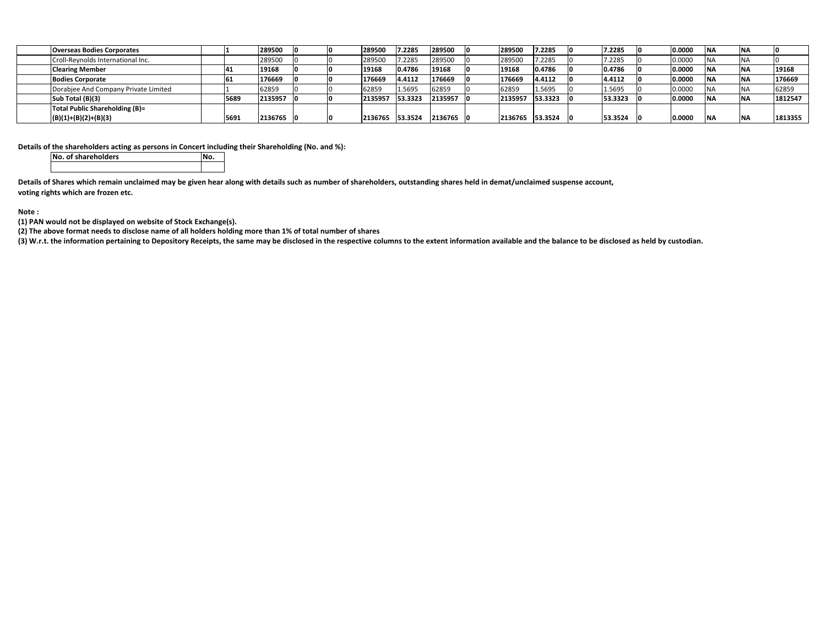| <b>Overseas Bodies Corporates</b>    |      | 289500    |  | 289500  | 7.2285  | 289500  | 289500  | 7.2285  | 7.2285  | 0.0000 | <b>NA</b> |         |
|--------------------------------------|------|-----------|--|---------|---------|---------|---------|---------|---------|--------|-----------|---------|
| Croll-Reynolds International Inc.    |      | 289500    |  | 289500  | 7.2285  | 289500  | 289500  | 7.2285  | 7.2285  | 0.0000 | <b>NA</b> |         |
| <b>Clearing Member</b>               | 41   | 19168     |  | 19168   | 0.4786  | 19168   | 19168   | 0.4786  | 0.4786  | 0.0000 | <b>NA</b> | 19168   |
| <b>Bodies Corporate</b>              | 61   | 176669    |  | 176669  | 4.4112  | 176669  | 176669  | 4.4112  | 4.4112  | 0.0000 | <b>NA</b> | 176669  |
| Dorabjee And Company Private Limited |      | 62859     |  | 62859   | 1.5695  | 62859   | 62859   | 1.5695  | 1.5695  | 0.0000 |           | 62859   |
| Sub Total (B)(3)                     | 5689 | 2135957   |  | 2135957 | 53.3323 | 2135957 | 2135957 | 53.3323 | 53.3323 | 0.0000 |           | 1812547 |
| Total Public Shareholding (B)=       |      |           |  |         |         |         |         |         |         |        |           |         |
| $(B)(1)+(B)(2)+(B)(3)$               | 5691 | 2136765 0 |  | 2136765 | 53.3524 | 2136765 | 2136765 | 53.3524 | 53.3524 | 0.0000 | <b>NA</b> | 1813355 |

**Details of the shareholders acting as persons in Concert including their Shareholding (No. and %):**

**No. of shareholders No.**

Details of Shares which remain unclaimed may be given hear along with details such as number of shareholders, outstanding shares held in demat/unclaimed suspense account, **voting rights which are frozen etc.**

**Note :**

**(1) PAN would not be displayed on website of Stock Exchange(s).**

(2) The above format needs to disclose name of all holders holding more than 1% of total number of shares

(3) W.r.t. the information pertaining to Depository Receipts, the same may be disclosed in the respective columns to the extent information available and the balance to be disclosed as held by custodian.